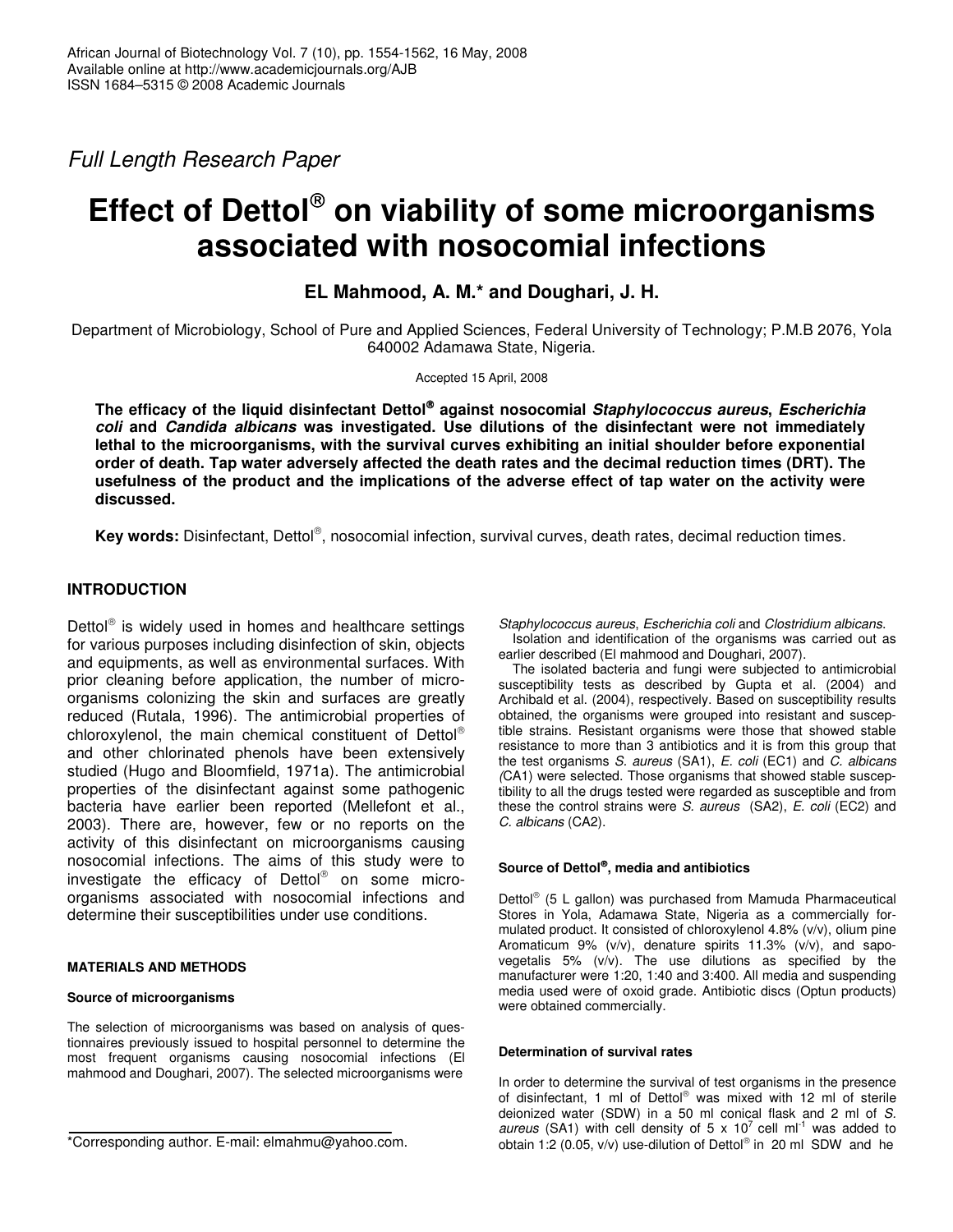*Full Length Research Paper*

# **Effect of Dettol on viability of some microorganisms associated with nosocomial infections**

**EL Mahmood, A. M.\* and Doughari, J. H.**

Department of Microbiology, School of Pure and Applied Sciences, Federal University of Technology; P.M.B 2076, Yola 640002 Adamawa State, Nigeria.

Accepted 15 April, 2008

**The efficacy of the liquid disinfectant Dettol against nosocomial** *Staphylococcus aureus***,** *Escherichia coli* **and** *Candida albicans* **was investigated. Use dilutions of the disinfectant were not immediately lethal to the microorganisms, with the survival curves exhibiting an initial shoulder before exponential order of death. Tap water adversely affected the death rates and the decimal reduction times (DRT). The** usefulness of the product and the implications of the adverse effect of tap water on the activity were **discussed.**

Key words: Disinfectant, Dettol®, nosocomial infection, survival curves, death rates, decimal reduction times.

# **INTRODUCTION**

Dettol<sup>®</sup> is widely used in homes and healthcare settings for various purposes including disinfection of skin, objects and equipments, as well as environmental surfaces. With prior cleaning before application, the number of microorganisms colonizing the skin and surfaces are greatly reduced (Rutala, 1996). The antimicrobial properties of chloroxylenol, the main chemical constituent of Dettol® and other chlorinated phenols have been extensively studied (Hugo and Bloomfield, 1971a). The antimicrobial properties of the disinfectant against some pathogenic bacteria have earlier been reported (Mellefont et al., 2003). There are, however, few or no reports on the activity of this disinfectant on microorganisms causing nosocomial infections. The aims of this study were to investigate the efficacy of Dettol® on some microorganisms associated with nosocomial infections and determine their susceptibilities under use conditions.

# **MATERIALS AND METHODS**

## **Source of microorganisms**

The selection of microorganisms was based on analysis of questionnaires previously issued to hospital personnel to determine the most frequent organisms causing nosocomial infections (El mahmood and Doughari, 2007). The selected microorganisms were

\*Corresponding author. E-mail: elmahmu@yahoo.com.

*Staphylococcus aureus*, *Escherichia coli* and *Clostridium albicans*. Isolation and identification of the organisms was carried out as

earlier described (El mahmood and Doughari, 2007). The isolated bacteria and fungi were subjected to antimicrobial

susceptibility tests as described by Gupta et al. (2004) and Archibald et al. (2004), respectively. Based on susceptibility results obtained, the organisms were grouped into resistant and susceptible strains. Resistant organisms were those that showed stable resistance to more than 3 antibiotics and it is from this group that the test organisms *S. aureus* (SA1), *E. coli* (EC1) and *C. albicans (*CA1) were selected. Those organisms that showed stable susceptibility to all the drugs tested were regarded as susceptible and from these the control strains were *S. aureus* (SA2), *E. coli* (EC2) and *C. albicans* (CA2).

# **Source of Dettol , media and antibiotics**

Dettol<sup>®</sup> (5 L gallon) was purchased from Mamuda Pharmaceutical Stores in Yola, Adamawa State, Nigeria as a commercially formulated product. It consisted of chloroxylenol 4.8% (v/v), olium pine Aromaticum 9% (v/v), denature spirits 11.3% (v/v), and sapovegetalis 5% (v/v). The use dilutions as specified by the manufacturer were 1:20, 1:40 and 3:400. All media and suspending media used were of oxoid grade. Antibiotic discs (Optun products) were obtained commercially.

## **Determination of survival rates**

In order to determine the survival of test organisms in the presence of disinfectant, 1 ml of Dettol® was mixed with 12 ml of sterile deionized water (SDW) in a 50 ml conical flask and 2 ml of *S. aureus* (SA1) with cell density of  $5 \times 10^7$  cell ml<sup>-1</sup> was added to obtain 1:2 (0.05, v/v) use-dilution of Dettol® in 20 ml SDW and he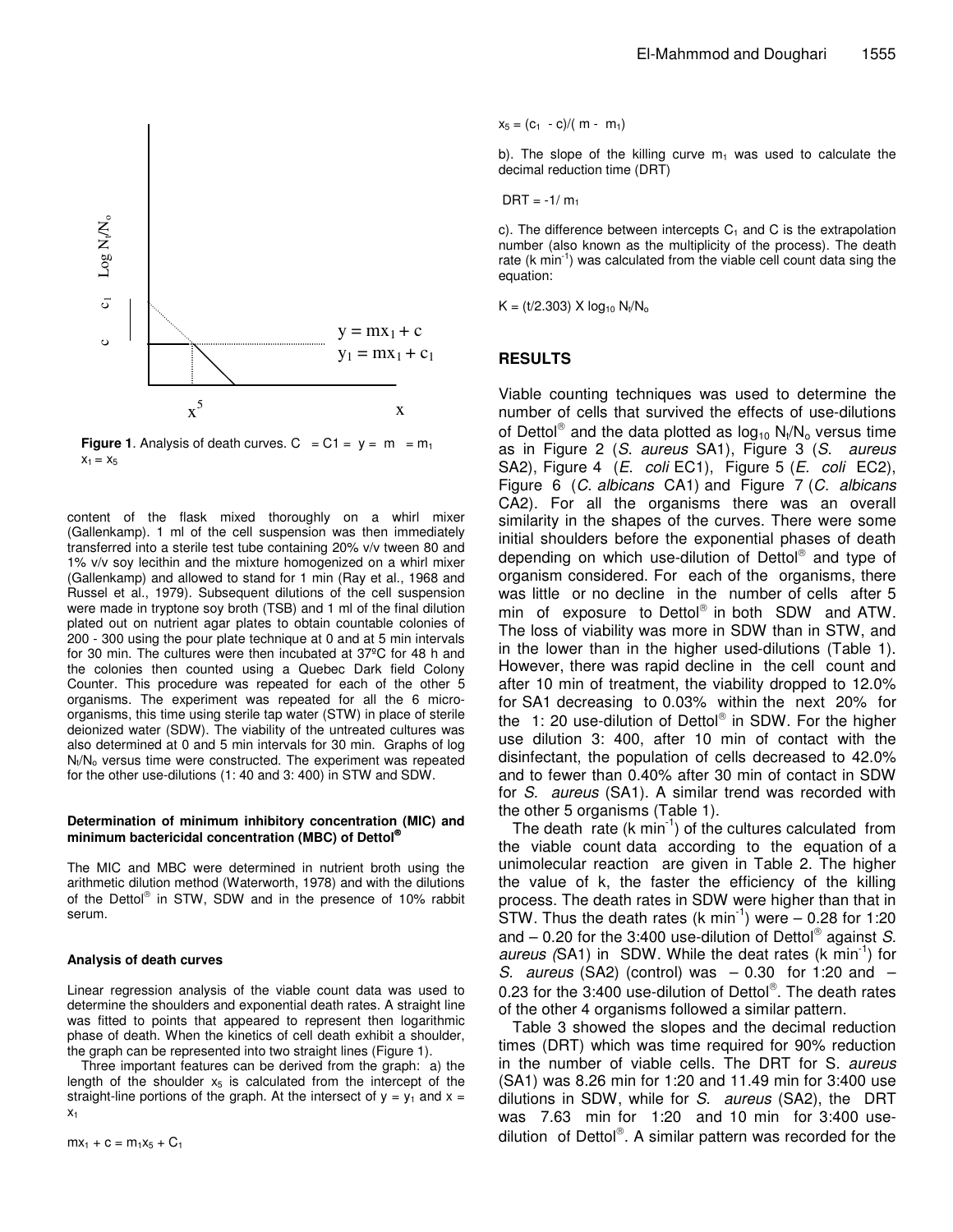

**Figure 1.** Analysis of death curves.  $C = C1 = y = m = m_1$  $X_1 = X_5$ 

content of the flask mixed thoroughly on a whirl mixer (Gallenkamp). 1 ml of the cell suspension was then immediately transferred into a sterile test tube containing 20% v/v tween 80 and 1% v/v soy lecithin and the mixture homogenized on a whirl mixer (Gallenkamp) and allowed to stand for 1 min (Ray et al., 1968 and Russel et al., 1979). Subsequent dilutions of the cell suspension were made in tryptone soy broth (TSB) and 1 ml of the final dilution plated out on nutrient agar plates to obtain countable colonies of 200 - 300 using the pour plate technique at 0 and at 5 min intervals for 30 min. The cultures were then incubated at 37ºC for 48 h and the colonies then counted using a Quebec Dark field Colony Counter. This procedure was repeated for each of the other 5 organisms. The experiment was repeated for all the 6 microorganisms, this time using sterile tap water (STW) in place of sterile deionized water (SDW). The viability of the untreated cultures was also determined at 0 and 5 min intervals for 30 min. Graphs of log  $N_t/N_o$  versus time were constructed. The experiment was repeated for the other use-dilutions (1: 40 and 3: 400) in STW and SDW.

#### **Determination of minimum inhibitory concentration (MIC) and minimum bactericidal concentration (MBC) of Dettol**

The MIC and MBC were determined in nutrient broth using the arithmetic dilution method (Waterworth, 1978) and with the dilutions of the Dettol® in STW, SDW and in the presence of 10% rabbit serum.

#### **Analysis of death curves**

Linear regression analysis of the viable count data was used to determine the shoulders and exponential death rates. A straight line was fitted to points that appeared to represent then logarithmic phase of death. When the kinetics of cell death exhibit a shoulder, the graph can be represented into two straight lines (Figure 1).

Three important features can be derived from the graph: a) the length of the shoulder  $x<sub>5</sub>$  is calculated from the intercept of the straight-line portions of the graph. At the intersect of  $y = y_1$  and  $x =$  $X<sub>1</sub>$ 

 $mx_1 + c = m_1x_5 + C_1$ 

 $x_5 = (c_1 - c)/(m - m_1)$ 

b). The slope of the killing curve  $m_1$  was used to calculate the decimal reduction time (DRT)

 $DRT = -1/m_1$ 

c). The difference between intercepts  $C_1$  and C is the extrapolation number (also known as the multiplicity of the process). The death rate (k min<sup>-1</sup>) was calculated from the viable cell count data sing the equation:

 $K = (t/2.303)$  X  $log_{10} N_t/N_o$ 

## **RESULTS**

Viable counting techniques was used to determine the number of cells that survived the effects of use-dilutions of Dettol<sup>®</sup> and the data plotted as  $log_{10} N_{t}/N_{o}$  versus time as in Figure 2 (*S. aureus* SA1), Figure 3 (*S. aureus* SA2), Figure 4 (*E. coli* EC1), Figure 5 (*E. coli* EC2), Figure 6 (*C. albicans* CA1) and Figure 7 (*C. albicans* CA2). For all the organisms there was an overall similarity in the shapes of the curves. There were some initial shoulders before the exponential phases of death depending on which use-dilution of Dettol® and type of organism considered. For each of the organisms, there was little or no decline in the number of cells after 5 min of exposure to Dettol<sup>®</sup> in both SDW and ATW. The loss of viability was more in SDW than in STW, and in the lower than in the higher used-dilutions (Table 1). However, there was rapid decline in the cell count and after 10 min of treatment, the viability dropped to 12.0% for SA1 decreasing to 0.03% within the next 20% for the 1: 20 use-dilution of Dettol® in SDW. For the higher use dilution 3: 400, after 10 min of contact with the disinfectant, the population of cells decreased to 42.0% and to fewer than 0.40% after 30 min of contact in SDW for *S. aureus* (SA1). A similar trend was recorded with the other 5 organisms (Table 1).

The death rate  $(k \text{ min}^{-1})$  of the cultures calculated from the viable count data according to the equation of a unimolecular reaction are given in Table 2. The higher the value of k, the faster the efficiency of the killing process. The death rates in SDW were higher than that in  $\overline{\text{STW}}$ . Thus the death rates (k min<sup>-1</sup>) were  $-$  0.28 for 1:20 and – 0.20 for the 3:400 use-dilution of Dettol against *S.* aureus (SA1) in SDW. While the deat rates (k min<sup>-1</sup>) for *S. aureus* (SA2) (control) was – 0.30 for 1:20 and – 0.23 for the 3:400 use-dilution of Dettol®. The death rates of the other 4 organisms followed a similar pattern.

Table 3 showed the slopes and the decimal reduction times (DRT) which was time required for 90% reduction in the number of viable cells. The DRT for S*. aureus* (SA1) was 8.26 min for 1:20 and 11.49 min for 3:400 use dilutions in SDW, while for *S. aureus* (SA2), the DRT was 7.63 min for 1:20 and 10 min for 3:400 usedilution of Dettol®. A similar pattern was recorded for the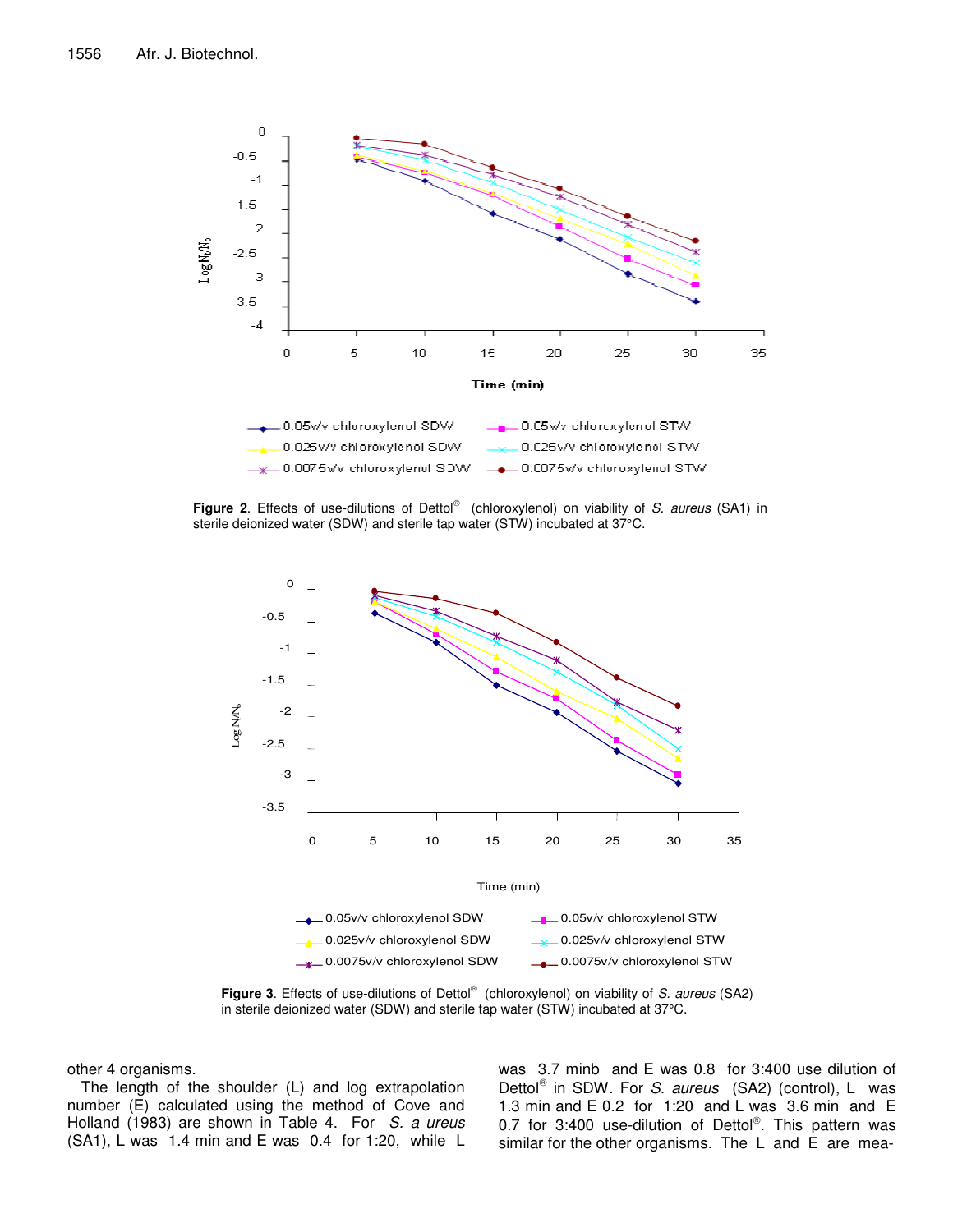

Figure 2. Effects of use-dilutions of Dettol® (chloroxylenol) on viability of *S. aureus* (SA1) in sterile deionized water (SDW) and sterile tap water (STW) incubated at 37°C.



**Figure 3**. Effects of use-dilutions of Dettol (chloroxylenol) on viability of *S. aureus* (SA2) in sterile deionized water (SDW) and sterile tap water (STW) incubated at 37°C.

other 4 organisms.

The length of the shoulder (L) and log extrapolation number (E) calculated using the method of Cove and Holland (1983) are shown in Table 4. For *S. a ureus* (SA1), L was 1.4 min and E was 0.4 for 1:20, while L was 3.7 minb and E was 0.8 for 3:400 use dilution of Dettol<sup>®</sup> in SDW. For *S. aureus* (SA2) (control), L was 1.3 min and E 0.2 for 1:20 and L was 3.6 min and E 0.7 for 3:400 use-dilution of Dettol®. This pattern was similar for the other organisms. The L and E are mea-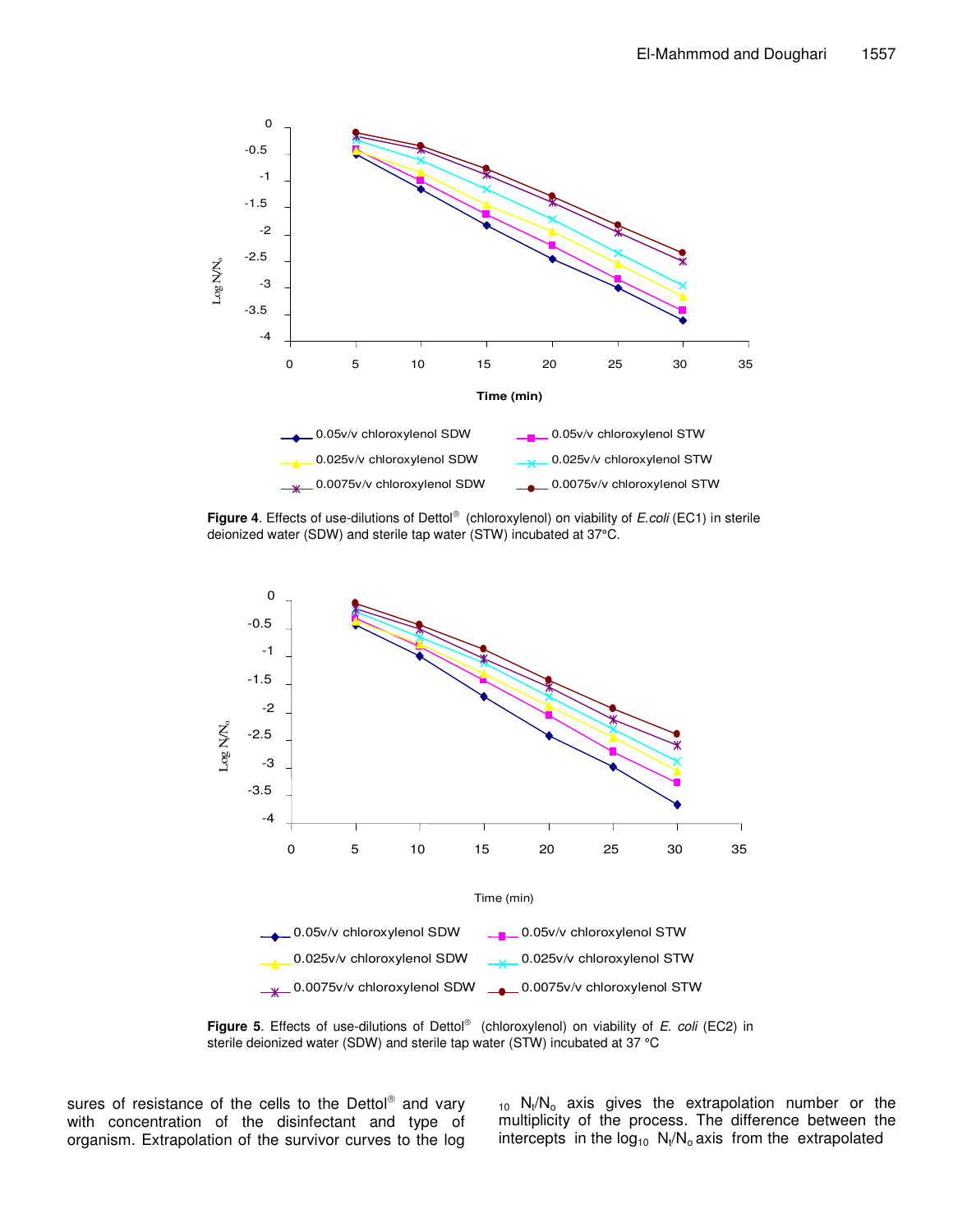

Figure 4. Effects of use-dilutions of Dettol® (chloroxylenol) on viability of *E.coli* (EC1) in sterile deionized water (SDW) and sterile tap water (STW) incubated at 37°C.



**Figure 5**. Effects of use-dilutions of Dettol (chloroxylenol) on viability of *E. coli* (EC2) in sterile deionized water (SDW) and sterile tap water (STW) incubated at 37 °C

sures of resistance of the cells to the Dettol<sup>®</sup> and vary with concentration of the disinfectant and type of organism. Extrapolation of the survivor curves to the log

 $_{10}$  N<sub>t</sub>/N<sub>o</sub> axis gives the extrapolation number or the multiplicity of the process. The difference between the intercepts in the log<sub>10</sub>  $\mathsf{N}_\mathsf{t}/\mathsf{N}_\mathsf{o}$  axis from the extrapolated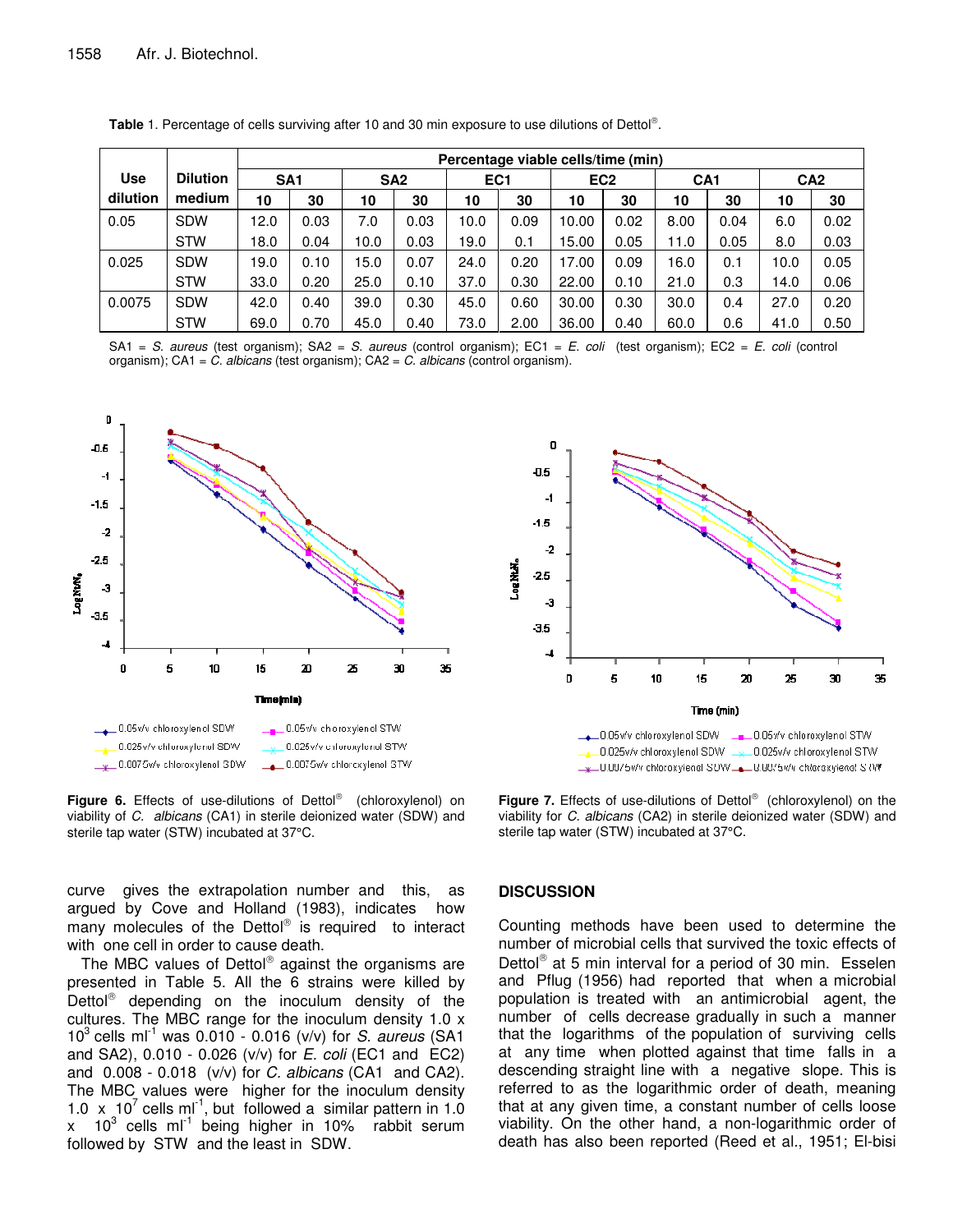|            |                 | Percentage viable cells/time (min) |      |                 |      |                 |      |                 |      |                 |      |                 |      |
|------------|-----------------|------------------------------------|------|-----------------|------|-----------------|------|-----------------|------|-----------------|------|-----------------|------|
| <b>Use</b> | <b>Dilution</b> | SA <sub>1</sub>                    |      | SA <sub>2</sub> |      | EC <sub>1</sub> |      | EC <sub>2</sub> |      | CA <sub>1</sub> |      | CA <sub>2</sub> |      |
| dilution   | medium          | 10                                 | 30   | 10              | 30   | 10              | 30   | 10              | 30   | 10              | 30   | 10              | 30   |
| 0.05       | <b>SDW</b>      | 12.0                               | 0.03 | 7.0             | 0.03 | 10.0            | 0.09 | 10.00           | 0.02 | 8.00            | 0.04 | 6.0             | 0.02 |
|            | <b>STW</b>      | 18.0                               | 0.04 | 10.0            | 0.03 | 19.0            | 0.1  | 15.00           | 0.05 | 11.0            | 0.05 | 8.0             | 0.03 |
| 0.025      | <b>SDW</b>      | 19.0                               | 0.10 | 15.0            | 0.07 | 24.0            | 0.20 | 17.00           | 0.09 | 16.0            | 0.1  | 10.0            | 0.05 |
|            | <b>STW</b>      | 33.0                               | 0.20 | 25.0            | 0.10 | 37.0            | 0.30 | 22.00           | 0.10 | 21.0            | 0.3  | 14.0            | 0.06 |
| 0.0075     | <b>SDW</b>      | 42.0                               | 0.40 | 39.0            | 0.30 | 45.0            | 0.60 | 30.00           | 0.30 | 30.0            | 0.4  | 27.0            | 0.20 |
|            | <b>STW</b>      | 69.0                               | 0.70 | 45.0            | 0.40 | 73.0            | 2.00 | 36.00           | 0.40 | 60.0            | 0.6  | 41.0            | 0.50 |

Table 1. Percentage of cells surviving after 10 and 30 min exposure to use dilutions of Dettol®.

SA1 = *S. aureus* (test organism); SA2 = *S. aureus* (control organism); EC1 = *E. coli* (test organism); EC2 = *E. coli* (control organism); CA1 = *C. albicans* (test organism); CA2 = *C. albicans* (control organism).



**Figure 6.** Effects of use-dilutions of Dettol (chloroxylenol) on viability of *C. albicans* (CA1) in sterile deionized water (SDW) and sterile tap water (STW) incubated at 37°C.

curve gives the extrapolation number and this, as argued by Cove and Holland (1983), indicates how many molecules of the Dettol® is required to interact with one cell in order to cause death.

The MBC values of Dettol® against the organisms are presented in Table 5. All the 6 strains were killed by .<br>Dettol<sup>®</sup> depending on the inoculum density of the cultures. The MBC range for the inoculum density 1.0 x 10 3 cells ml -1 was 0.010 - 0.016 (v/v) for *S. aureus* (SA1 and SA2), 0.010 - 0.026 (v/v) for *E. coli* (EC1 and EC2) and 0.008 - 0.018 (v/v) for *C. albicans* (CA1 and CA2). The MBC values were higher for the inoculum density 1.0  $\times$  10<sup>7</sup> cells ml<sup>-1</sup>, but followed a similar pattern in 1.0 x  $10^3$  cells ml<sup>-1</sup> being higher in 10% rabbit serum followed by STW and the least in SDW.



**Figure 7.** Effects of use-dilutions of Dettol (chloroxylenol) on the viability for *C. albicans* (CA2) in sterile deionized water (SDW) and sterile tap water (STW) incubated at 37°C.

## **DISCUSSION**

Counting methods have been used to determine the number of microbial cells that survived the toxic effects of Dettol<sup>®</sup> at 5 min interval for a period of 30 min. Esselen and Pflug (1956) had reported that when a microbial population is treated with an antimicrobial agent, the number of cells decrease gradually in such a manner that the logarithms of the population of surviving cells at any time when plotted against that time falls in a descending straight line with a negative slope. This is referred to as the logarithmic order of death, meaning that at any given time, a constant number of cells loose viability. On the other hand, a non-logarithmic order of death has also been reported (Reed et al*.*, 1951; El-bisi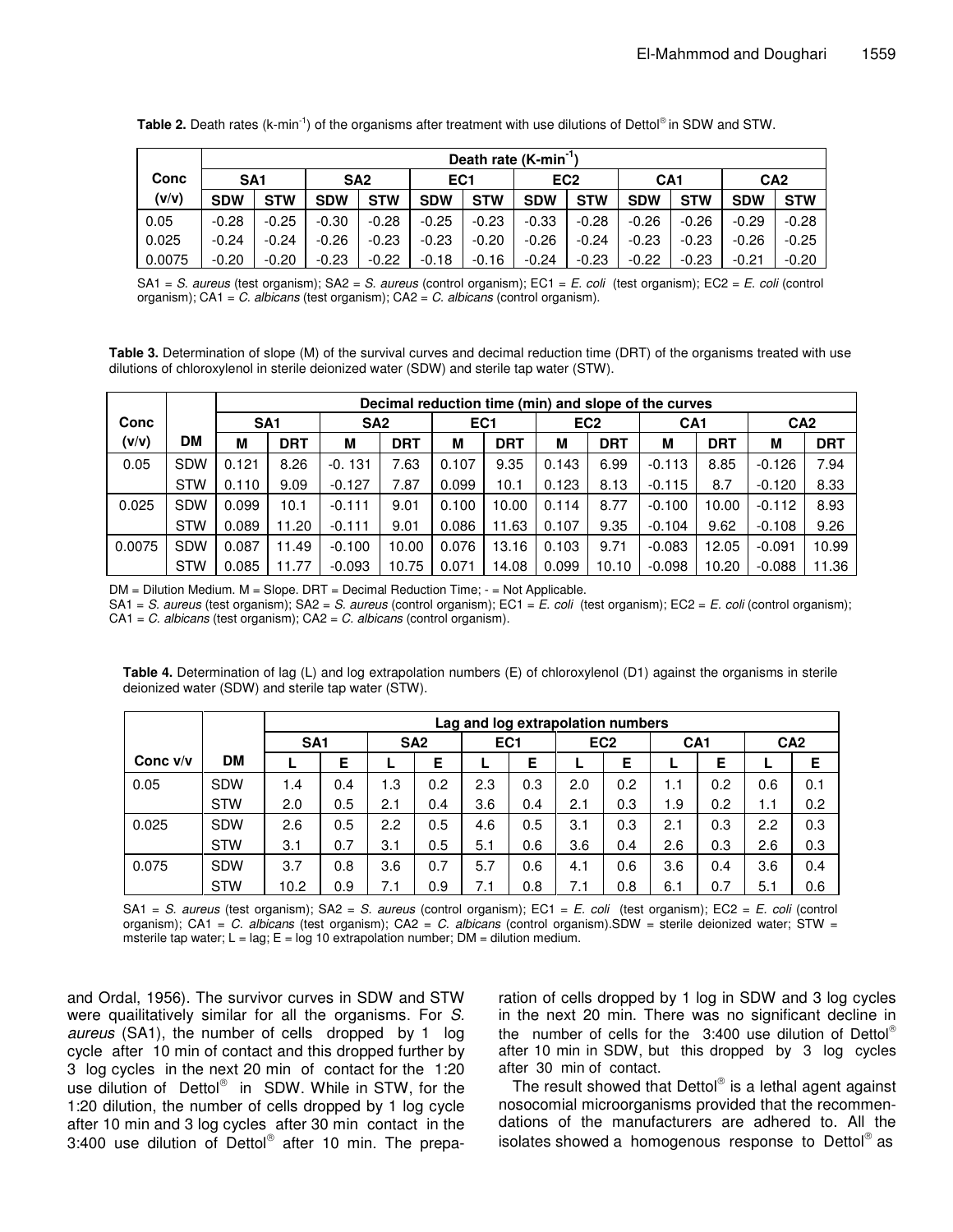|        | Death rate (K-min <sup>-1</sup> ) |            |                                    |            |            |                 |            |                 |            |                 |            |            |
|--------|-----------------------------------|------------|------------------------------------|------------|------------|-----------------|------------|-----------------|------------|-----------------|------------|------------|
| Conc   | SA <sub>1</sub>                   |            | SA <sub>2</sub><br>EC <sub>1</sub> |            |            | EC <sub>2</sub> |            | CA <sub>1</sub> |            | CA <sub>2</sub> |            |            |
| (v/v)  | <b>SDW</b>                        | <b>STW</b> | <b>SDW</b>                         | <b>STW</b> | <b>SDW</b> | <b>STW</b>      | <b>SDW</b> | <b>STW</b>      | <b>SDW</b> | <b>STW</b>      | <b>SDW</b> | <b>STW</b> |
| 0.05   | $-0.28$                           | $-0.25$    | $-0.30$                            | $-0.28$    | $-0.25$    | $-0.23$         | $-0.33$    | $-0.28$         | $-0.26$    | $-0.26$         | $-0.29$    | $-0.28$    |
| 0.025  | $-0.24$                           | $-0.24$    | $-0.26$                            | $-0.23$    | $-0.23$    | $-0.20$         | $-0.26$    | $-0.24$         | $-0.23$    | $-0.23$         | $-0.26$    | $-0.25$    |
| 0.0075 | $-0.20$                           | $-0.20$    | $-0.23$                            | $-0.22$    | $-0.18$    | $-0.16$         | $-0.24$    | $-0.23$         | $-0.22$    | $-0.23$         | $-0.21$    | $-0.20$    |

Table 2. Death rates (k-min<sup>-1</sup>) of the organisms after treatment with use dilutions of Dettol® in SDW and STW.

SA1 = *S. aureus* (test organism); SA2 = *S. aureus* (control organism); EC1 = *E. coli* (test organism); EC2 = *E. coli* (control organism); CA1 = *C. albicans* (test organism); CA2 = *C. albicans* (control organism).

**Table 3.** Determination of slope (M) of the survival curves and decimal reduction time (DRT) of the organisms treated with use dilutions of chloroxylenol in sterile deionized water (SDW) and sterile tap water (STW).

|        |            |                 | Decimal reduction time (min) and slope of the curves |                 |            |                 |            |                 |            |                 |            |                 |            |
|--------|------------|-----------------|------------------------------------------------------|-----------------|------------|-----------------|------------|-----------------|------------|-----------------|------------|-----------------|------------|
| Conc   |            | SA <sub>1</sub> |                                                      | SA <sub>2</sub> |            | EC <sub>1</sub> |            | EC <sub>2</sub> |            | CA <sub>1</sub> |            | CA <sub>2</sub> |            |
| (v/v)  | <b>DM</b>  | М               | <b>DRT</b>                                           | М               | <b>DRT</b> | М               | <b>DRT</b> | М               | <b>DRT</b> | M               | <b>DRT</b> | M               | <b>DRT</b> |
| 0.05   | <b>SDW</b> | 0.121           | 8.26                                                 | $-0.131$        | 7.63       | 0.107           | 9.35       | 0.143           | 6.99       | $-0.113$        | 8.85       | $-0.126$        | 7.94       |
|        | <b>STW</b> | 0.110           | 9.09                                                 | $-0.127$        | 7.87       | 0.099           | 10.1       | 0.123           | 8.13       | $-0.115$        | 8.7        | $-0.120$        | 8.33       |
| 0.025  | <b>SDW</b> | 0.099           | 10.1                                                 | $-0.111$        | 9.01       | 0.100           | 10.00      | 0.114           | 8.77       | $-0.100$        | 10.00      | $-0.112$        | 8.93       |
|        | <b>STW</b> | 0.089           | 11.20                                                | $-0.111$        | 9.01       | 0.086           | 11.63      | 0.107           | 9.35       | $-0.104$        | 9.62       | $-0.108$        | 9.26       |
| 0.0075 | <b>SDW</b> | 0.087           | 11.49                                                | $-0.100$        | 10.00      | 0.076           | 13.16      | 0.103           | 9.71       | $-0.083$        | 12.05      | $-0.091$        | 10.99      |
|        | <b>STW</b> | 0.085           | 11.77                                                | $-0.093$        | 10.75      | 0.071           | 14.08      | 0.099           | 10.10      | $-0.098$        | 10.20      | $-0.088$        | 11.36      |

DM = Dilution Medium. M = Slope. DRT = Decimal Reduction Time; - = Not Applicable.

SA1 = *S. aureus* (test organism); SA2 = *S. aureus* (control organism); EC1 = *E. coli* (test organism); EC2 = *E. coli* (control organism); CA1 = *C. albicans* (test organism); CA2 = *C. albicans* (control organism).

**Table 4.** Determination of lag (L) and log extrapolation numbers (E) of chloroxylenol (D1) against the organisms in sterile deionized water (SDW) and sterile tap water (STW).

|            |            | Lag and log extrapolation numbers |                 |     |                 |     |                 |     |                 |     |                 |     |                 |  |
|------------|------------|-----------------------------------|-----------------|-----|-----------------|-----|-----------------|-----|-----------------|-----|-----------------|-----|-----------------|--|
|            |            |                                   | SA <sub>1</sub> |     | SA <sub>2</sub> |     | EC <sub>1</sub> |     | EC <sub>2</sub> |     | CA <sub>1</sub> |     | CA <sub>2</sub> |  |
| Conc $v/v$ | <b>DM</b>  |                                   | Е               |     | Е               |     | Е               |     | Е               |     | Е               |     | Ε               |  |
| 0.05       | <b>SDW</b> | 1.4                               | 0.4             | 1.3 | 0.2             | 2.3 | 0.3             | 2.0 | 0.2             | 1.1 | 0.2             | 0.6 | 0.1             |  |
|            | <b>STW</b> | 2.0                               | 0.5             | 2.1 | 0.4             | 3.6 | 0.4             | 2.1 | 0.3             | 1.9 | 0.2             | 1.1 | 0.2             |  |
| 0.025      | <b>SDW</b> | 2.6                               | 0.5             | 2.2 | 0.5             | 4.6 | 0.5             | 3.1 | 0.3             | 2.1 | 0.3             | 2.2 | 0.3             |  |
|            | <b>STW</b> | 3.1                               | 0.7             | 3.1 | 0.5             | 5.1 | 0.6             | 3.6 | 0.4             | 2.6 | 0.3             | 2.6 | 0.3             |  |
| 0.075      | <b>SDW</b> | 3.7                               | 0.8             | 3.6 | 0.7             | 5.7 | 0.6             | 4.1 | 0.6             | 3.6 | 0.4             | 3.6 | 0.4             |  |
|            | <b>STW</b> | 10.2                              | 0.9             | 7.1 | 0.9             | 7.1 | 0.8             | 7.1 | 0.8             | 6.1 | 0.7             | 5.1 | 0.6             |  |

SA1 = *S. aureus* (test organism); SA2 = *S. aureus* (control organism); EC1 = *E. coli* (test organism); EC2 = *E. coli* (control organism); CA1 = *C. albicans* (test organism); CA2 = *C. albicans* (control organism).SDW = sterile deionized water; STW = msterile tap water;  $L = lag$ ;  $E = log 10$  extrapolation number;  $DM = dilution$  medium.

and Ordal, 1956). The survivor curves in SDW and STW were quailitatively similar for all the organisms. For *S. aureus* (SA1), the number of cells dropped by 1 log cycle after 10 min of contact and this dropped further by 3 log cycles in the next 20 min of contact for the 1:20 use dilution of Dettol® in SDW. While in STW, for the 1:20 dilution, the number of cells dropped by 1 log cycle after 10 min and 3 log cycles after 30 min contact in the 3:400 use dilution of Dettol® after 10 min. The prepa-

ration of cells dropped by 1 log in SDW and 3 log cycles in the next 20 min. There was no significant decline in the number of cells for the 3:400 use dilution of Dettol® after 10 min in SDW, but this dropped by 3 log cycles after 30 min of contact.

The result showed that Dettol® is a lethal agent against nosocomial microorganisms provided that the recommendations of the manufacturers are adhered to. All the isolates showed a homogenous response to Dettol® as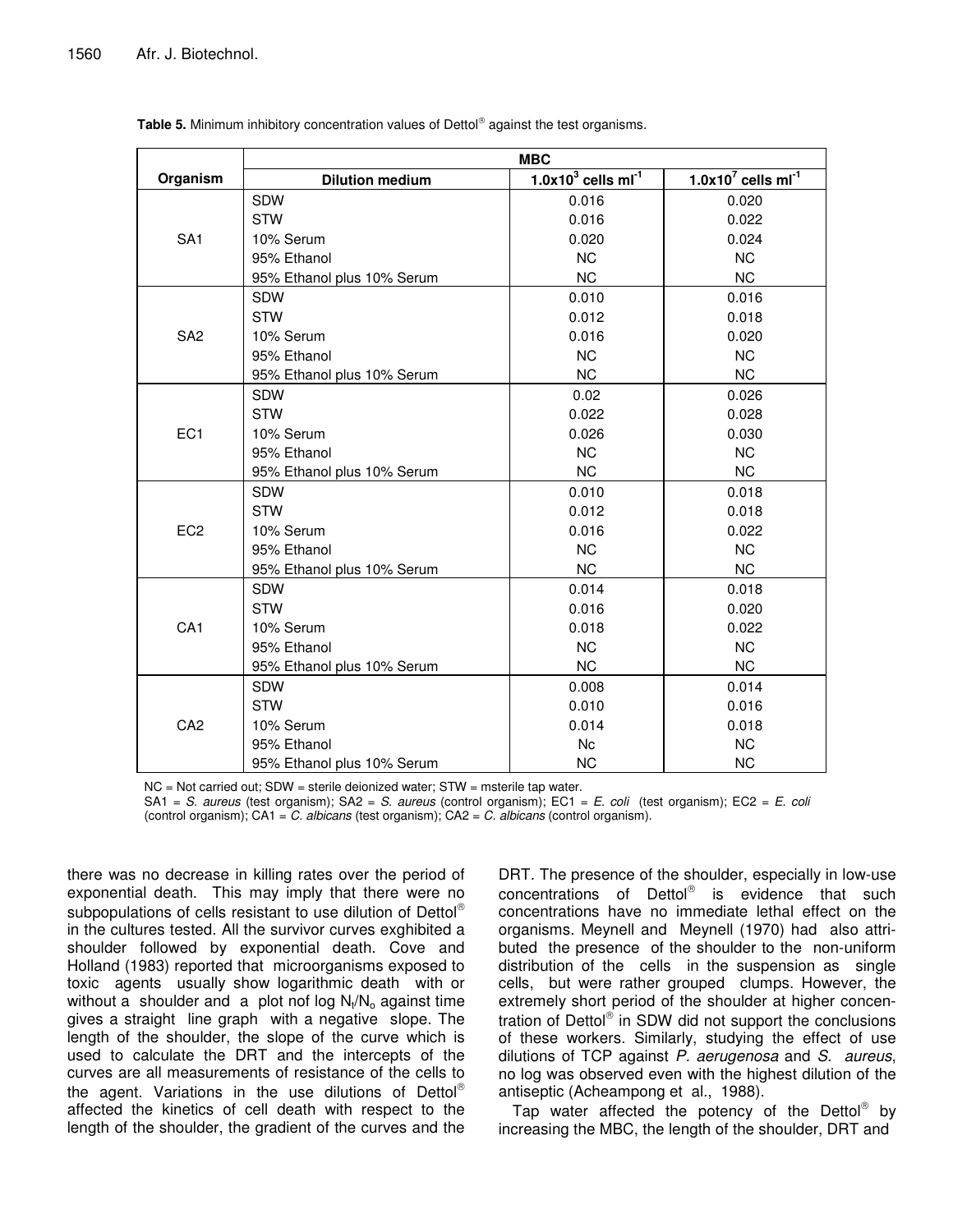|                 | <b>MBC</b>                 |                                  |                                  |  |  |  |  |  |  |  |  |
|-----------------|----------------------------|----------------------------------|----------------------------------|--|--|--|--|--|--|--|--|
| Organism        | <b>Dilution medium</b>     | $1.0x103$ cells ml <sup>-1</sup> | $1.0x107$ cells ml <sup>-1</sup> |  |  |  |  |  |  |  |  |
|                 | SDW                        | 0.016                            | 0.020                            |  |  |  |  |  |  |  |  |
|                 | <b>STW</b>                 | 0.016                            | 0.022                            |  |  |  |  |  |  |  |  |
| SA <sub>1</sub> | 10% Serum                  | 0.020                            | 0.024                            |  |  |  |  |  |  |  |  |
|                 | 95% Ethanol                | <b>NC</b>                        | <b>NC</b>                        |  |  |  |  |  |  |  |  |
|                 | 95% Ethanol plus 10% Serum | <b>NC</b>                        | <b>NC</b>                        |  |  |  |  |  |  |  |  |
|                 | SDW                        | 0.010                            | 0.016                            |  |  |  |  |  |  |  |  |
|                 | <b>STW</b>                 | 0.012                            | 0.018                            |  |  |  |  |  |  |  |  |
| SA <sub>2</sub> | 10% Serum                  | 0.016                            | 0.020                            |  |  |  |  |  |  |  |  |
|                 | 95% Ethanol                | <b>NC</b>                        | <b>NC</b>                        |  |  |  |  |  |  |  |  |
|                 | 95% Ethanol plus 10% Serum | NC.                              | <b>NC</b>                        |  |  |  |  |  |  |  |  |
|                 | <b>SDW</b>                 | 0.02                             | 0.026                            |  |  |  |  |  |  |  |  |
|                 | <b>STW</b>                 | 0.022                            | 0.028                            |  |  |  |  |  |  |  |  |
| EC <sub>1</sub> | 10% Serum                  | 0.026                            | 0.030                            |  |  |  |  |  |  |  |  |
|                 | 95% Ethanol                | <b>NC</b>                        | <b>NC</b>                        |  |  |  |  |  |  |  |  |
|                 | 95% Ethanol plus 10% Serum | NC.                              | <b>NC</b>                        |  |  |  |  |  |  |  |  |
|                 | <b>SDW</b>                 | 0.010                            | 0.018                            |  |  |  |  |  |  |  |  |
|                 | <b>STW</b>                 | 0.012                            | 0.018                            |  |  |  |  |  |  |  |  |
| EC <sub>2</sub> | 10% Serum                  | 0.016                            | 0.022                            |  |  |  |  |  |  |  |  |
|                 | 95% Ethanol                | <b>NC</b>                        | <b>NC</b>                        |  |  |  |  |  |  |  |  |
|                 | 95% Ethanol plus 10% Serum | <b>NC</b>                        | <b>NC</b>                        |  |  |  |  |  |  |  |  |
|                 | SDW                        | 0.014                            | 0.018                            |  |  |  |  |  |  |  |  |
|                 | <b>STW</b>                 | 0.016                            | 0.020                            |  |  |  |  |  |  |  |  |
| CA <sub>1</sub> | 10% Serum                  | 0.018                            | 0.022                            |  |  |  |  |  |  |  |  |
|                 | 95% Ethanol                | <b>NC</b>                        | <b>NC</b>                        |  |  |  |  |  |  |  |  |
|                 | 95% Ethanol plus 10% Serum | <b>NC</b>                        | <b>NC</b>                        |  |  |  |  |  |  |  |  |
|                 | <b>SDW</b>                 | 0.008                            | 0.014                            |  |  |  |  |  |  |  |  |
|                 | <b>STW</b>                 | 0.010                            | 0.016                            |  |  |  |  |  |  |  |  |
| CA <sub>2</sub> | 10% Serum                  | 0.014                            | 0.018                            |  |  |  |  |  |  |  |  |
|                 | 95% Ethanol                | Nc                               | <b>NC</b>                        |  |  |  |  |  |  |  |  |
|                 | 95% Ethanol plus 10% Serum | <b>NC</b>                        | <b>NC</b>                        |  |  |  |  |  |  |  |  |

**Table 5.** Minimum inhibitory concentration values of Dettol against the test organisms.

NC = Not carried out; SDW = sterile deionized water; STW = msterile tap water.

SA1 = *S. aureus* (test organism); SA2 = *S. aureus* (control organism); EC1 = *E. coli* (test organism); EC2 = *E. coli* (control organism); CA1 = *C. albicans* (test organism); CA2 = *C. albicans* (control organism).

there was no decrease in killing rates over the period of exponential death. This may imply that there were no subpopulations of cells resistant to use dilution of Dettol® in the cultures tested. All the survivor curves exghibited a shoulder followed by exponential death. Cove and Holland (1983) reported that microorganisms exposed to toxic agents usually show logarithmic death with or without a shoulder and a plot nof log  $\mathsf{N}_\mathsf{t}/\mathsf{N}_\mathsf{o}$  against time gives a straight line graph with a negative slope. The length of the shoulder, the slope of the curve which is used to calculate the DRT and the intercepts of the curves are all measurements of resistance of the cells to the agent. Variations in the use dilutions of Dettol® affected the kinetics of cell death with respect to the length of the shoulder, the gradient of the curves and the

DRT. The presence of the shoulder, especially in low-use concentrations of Dettol<sup>®</sup> is evidence that such concentrations have no immediate lethal effect on the organisms. Meynell and Meynell (1970) had also attributed the presence of the shoulder to the non-uniform distribution of the cells in the suspension as single cells, but were rather grouped clumps. However, the extremely short period of the shoulder at higher concentration of Dettol® in SDW did not support the conclusions of these workers. Similarly, studying the effect of use dilutions of TCP against *P. aerugenosa* and *S. aureus*, no log was observed even with the highest dilution of the antiseptic (Acheampong et al*.*, 1988).

Tap water affected the potency of the Dettol® by increasing the MBC, the length of the shoulder, DRT and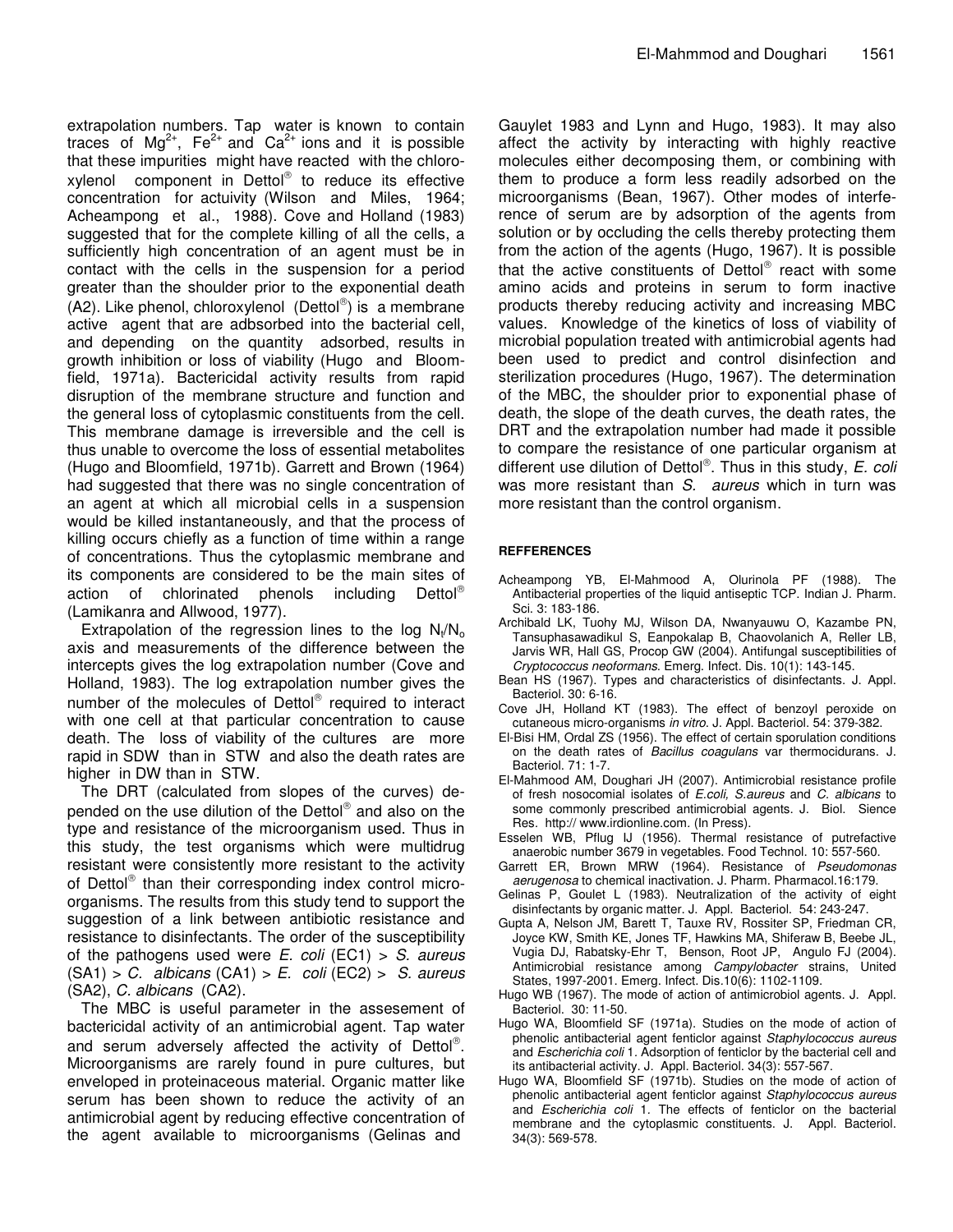extrapolation numbers. Tap water is known to contain traces of Mg<sup>2+</sup>, Fe<sup>2+</sup> and Ca<sup>2+</sup> ions and it is possible that these impurities might have reacted with the chloroxylenol component in Dettol<sup>®</sup> to reduce its effective concentration for actuivity (Wilson and Miles, 1964; Acheampong et al., 1988). Cove and Holland (1983) suggested that for the complete killing of all the cells, a sufficiently high concentration of an agent must be in contact with the cells in the suspension for a period greater than the shoulder prior to the exponential death (A2). Like phenol, chloroxylenol (Dettol ) is a membrane active agent that are adbsorbed into the bacterial cell, and depending on the quantity adsorbed, results in growth inhibition or loss of viability (Hugo and Bloomfield, 1971a). Bactericidal activity results from rapid disruption of the membrane structure and function and the general loss of cytoplasmic constituents from the cell. This membrane damage is irreversible and the cell is thus unable to overcome the loss of essential metabolites (Hugo and Bloomfield, 1971b). Garrett and Brown (1964) had suggested that there was no single concentration of an agent at which all microbial cells in a suspension would be killed instantaneously, and that the process of killing occurs chiefly as a function of time within a range of concentrations. Thus the cytoplasmic membrane and its components are considered to be the main sites of action of chlorinated phenols including  $Delta^{\circledR}$ (Lamikanra and Allwood, 1977).

Extrapolation of the regression lines to the log  $N_t/N_o$ axis and measurements of the difference between the intercepts gives the log extrapolation number (Cove and Holland, 1983). The log extrapolation number gives the number of the molecules of Dettol® required to interact with one cell at that particular concentration to cause death. The loss of viability of the cultures are more rapid in SDW than in STW and also the death rates are higher in DW than in STW.

The DRT (calculated from slopes of the curves) depended on the use dilution of the Dettol® and also on the type and resistance of the microorganism used. Thus in this study, the test organisms which were multidrug resistant were consistently more resistant to the activity of Dettol® than their corresponding index control microorganisms. The results from this study tend to support the suggestion of a link between antibiotic resistance and resistance to disinfectants. The order of the susceptibility of the pathogens used were *E. coli* (EC1) > *S. aureus* (SA1) > *C. albicans* (CA1) > *E. coli* (EC2) > *S. aureus* (SA2), *C. albicans* (CA2).

The MBC is useful parameter in the assesement of bactericidal activity of an antimicrobial agent. Tap water and serum adversely affected the activity of Dettol®. Microorganisms are rarely found in pure cultures, but enveloped in proteinaceous material. Organic matter like serum has been shown to reduce the activity of an antimicrobial agent by reducing effective concentration of the agent available to microorganisms (Gelinas and

Gauylet 1983 and Lynn and Hugo, 1983). It may also affect the activity by interacting with highly reactive molecules either decomposing them, or combining with them to produce a form less readily adsorbed on the microorganisms (Bean, 1967). Other modes of interference of serum are by adsorption of the agents from solution or by occluding the cells thereby protecting them from the action of the agents (Hugo, 1967). It is possible that the active constituents of Dettol® react with some amino acids and proteins in serum to form inactive products thereby reducing activity and increasing MBC values. Knowledge of the kinetics of loss of viability of microbial population treated with antimicrobial agents had been used to predict and control disinfection and sterilization procedures (Hugo, 1967). The determination of the MBC, the shoulder prior to exponential phase of death, the slope of the death curves, the death rates, the DRT and the extrapolation number had made it possible to compare the resistance of one particular organism at different use dilution of Dettol . Thus in this study, *E. coli* was more resistant than *S. aureus* which in turn was more resistant than the control organism.

## **REFFERENCES**

- Acheampong YB, El-Mahmood A, Olurinola PF (1988). The Antibacterial properties of the liquid antiseptic TCP. Indian J. Pharm. Sci. 3: 183-186.
- Archibald LK, Tuohy MJ, Wilson DA, Nwanyauwu O, Kazambe PN, Tansuphasawadikul S, Eanpokalap B, Chaovolanich A, Reller LB, Jarvis WR, Hall GS, Procop GW (2004). Antifungal susceptibilities of *Cryptococcus neoformans*. Emerg. Infect. Dis. 10(1): 143-145.
- Bean HS (1967). Types and characteristics of disinfectants. J. Appl. Bacteriol. 30: 6-16.
- Cove JH, Holland KT (1983). The effect of benzoyl peroxide on cutaneous micro-organisms *in vitro*. J. Appl. Bacteriol. 54: 379-382.
- El-Bisi HM, Ordal ZS (1956). The effect of certain sporulation conditions on the death rates of *Bacillus coagulans* var thermocidurans. J. Bacteriol. 71: 1-7.
- El-Mahmood AM, Doughari JH (2007). Antimicrobial resistance profile of fresh nosocomial isolates of *E.coli, S.aureus* and *C. albicans* to some commonly prescribed antimicrobial agents. J. Biol. Sience Res*.* http:// www.irdionline.com*.* (In Press).
- Esselen WB, Pflug IJ (1956). Thermal resistance of putrefactive anaerobic number 3679 in vegetables. Food Technol. 10: 557-560.
- Garrett ER, Brown MRW (1964). Resistance of *Pseudomonas aerugenosa* to chemical inactivation. J. Pharm. Pharmacol.16:179.
- Gelinas P, Goulet L (1983). Neutralization of the activity of eight disinfectants by organic matter. J. Appl. Bacteriol. 54: 243-247.
- Gupta A, Nelson JM, Barett T, Tauxe RV, Rossiter SP, Friedman CR, Joyce KW, Smith KE, Jones TF, Hawkins MA, Shiferaw B, Beebe JL, Vugia DJ, Rabatsky-Ehr T, Benson, Root JP, Angulo FJ (2004). Antimicrobial resistance among *Campylobacter* strains, United States, 1997-2001. Emerg. Infect. Dis*.*10(6): 1102-1109.
- Hugo WB (1967). The mode of action of antimicrobiol agents. J. Appl. Bacteriol. 30: 11-50.
- Hugo WA, Bloomfield SF (1971a). Studies on the mode of action of phenolic antibacterial agent fenticlor against *Staphylococcus aureus* and *Escherichia coli* 1*.* Adsorption of fenticlor by the bacterial cell and its antibacterial activity. J. Appl. Bacteriol. 34(3): 557-567.
- Hugo WA, Bloomfield SF (1971b). Studies on the mode of action of phenolic antibacterial agent fenticlor against *Staphylococcus aureus* and *Escherichia coli* 1*.* The effects of fenticlor on the bacterial membrane and the cytoplasmic constituents. J. Appl. Bacteriol. 34(3): 569-578.